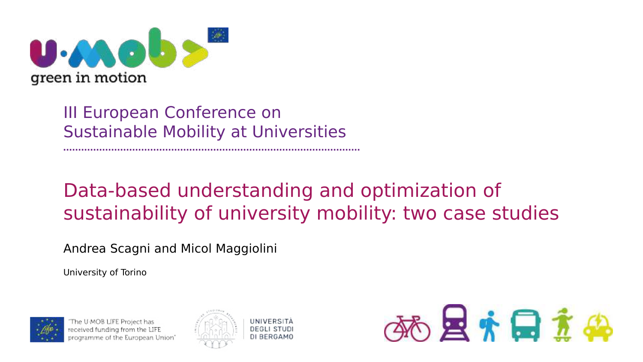

## III European Conference on Sustainable Mobility at Universities

# Data-based understanding and optimization of sustainability of university mobility: two case studies

#### Andrea Scagni and Micol Maggiolini

University of Torino



The U-MOB LIFE Project has received funding from the LIFE vrogramme of the European Union'





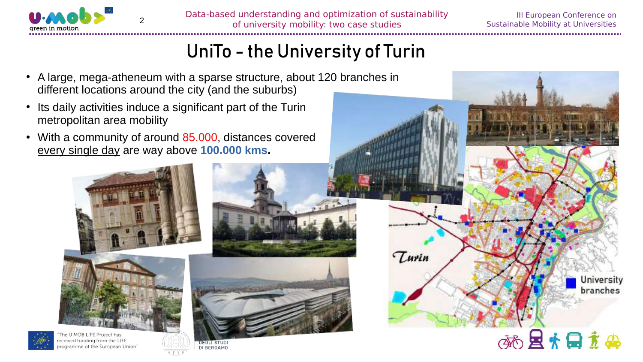

III European Conference on Sustainable Mobility at Universities

> University branches

地层方日本品

# UniTo - the University of Turin

- A large, mega-atheneum with a sparse structure, about 120 branches in different locations around the city (and the suburbs)
- Its daily activities induce a significant part of the Turin metropolitan area mobility
- With a community of around 85.000, distances covered every single day are way above **100.000 kms.**





ramme of the European Union







Turin

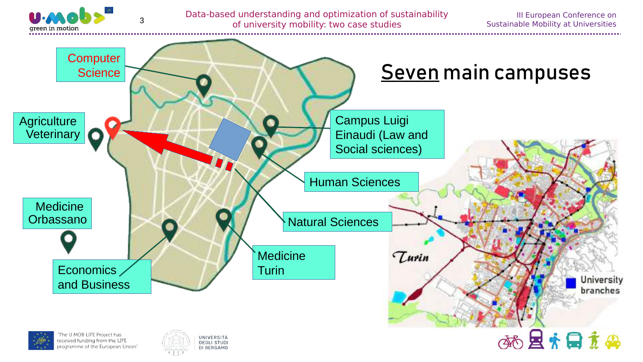

Data-based understanding and optimization of sustainability of university mobility: two case studies

III European Conference on Sustainable Mobility at Universities

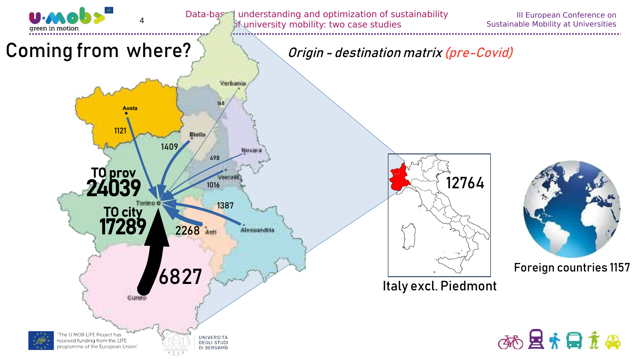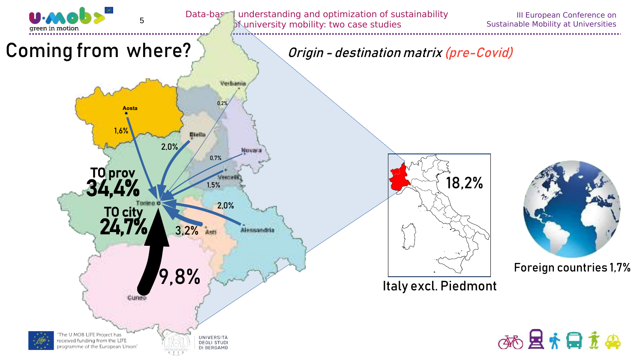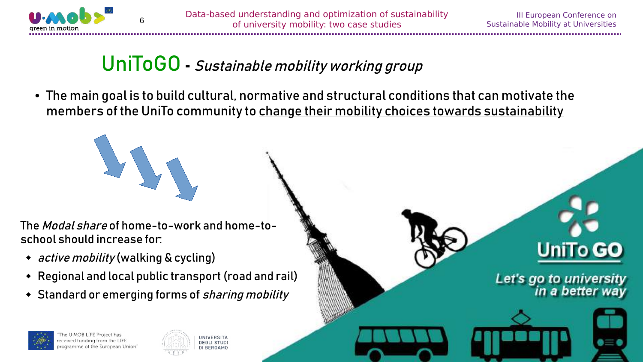

III European Conference on Sustainable Mobility at Universities

**UniTo GO** 

Let's go to university<br>in a better way

# UniToGO **-** Sustainable mobility working group

● The main goal is to build cultural, normative and structural conditions that can motivate the members of the UniTo community to change their mobility choices towards sustainability

The Modal share of home-to-work and home-toschool should increase for:

- *active mobility* (walking & cycling)
- Regional and local public transport (road and rail)
- Standard or emerging forms of *sharing mobility*



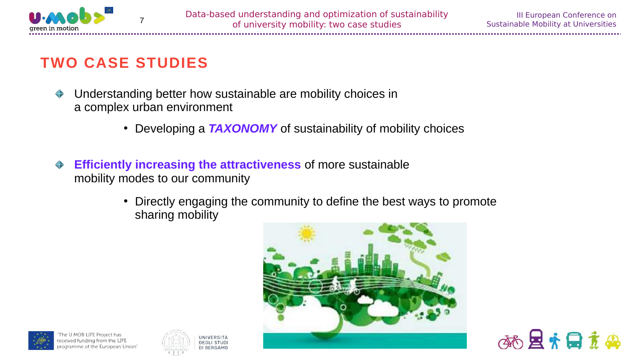

医克日主要

### **TWO CASE STUDIES**

- Understanding better how sustainable are mobility choices in ♦ a complex urban environment
	- Developing a **TAXONOMY** of sustainability of mobility choices
- **Efficiently increasing the attractiveness** of more sustainable ♦ mobility modes to our community

UNIVERSITÀ DEGLI STUD DI BERGAMO

• Directly engaging the community to define the best ways to promote sharing mobility



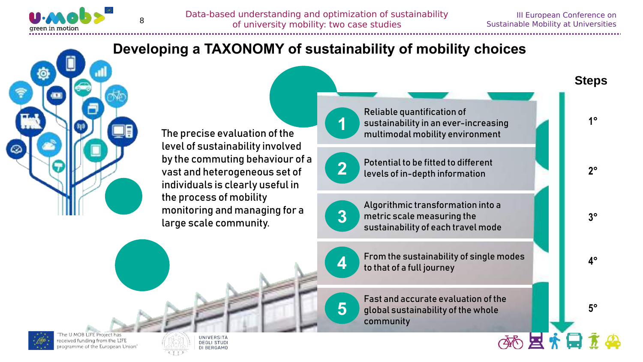

**4°**

**3°**

**2°**

**1°**

**Steps**

**5°**

≪困扰日

### **Developing a TAXONOMY of sustainability of mobility choices**



The precise evaluation of the level of sustainability involved by the commuting behaviour of a vast and heterogeneous set of individuals is clearly useful in the process of mobility monitoring and managing for a large scale community.

Reliable quantification of sustainability in an ever-increasing multimodal mobility environment



**1**

Potential to be fitted to different levels of in-depth information



Algorithmic transformation into a metric scale measuring the sustainability of each travel mode



**5**

From the sustainability of single modes to that of a full journey

Fast and accurate evaluation of the global sustainability of the whole community



eceived funding from the LIFE rogramme of the European Union

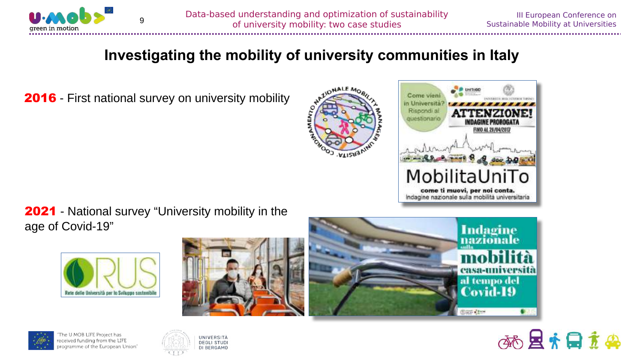

#### **Investigating the mobility of university communities in Italy**

2016 - First national survey on university mobility





**2021** - National survey "University mobility in the age of Covid-19"











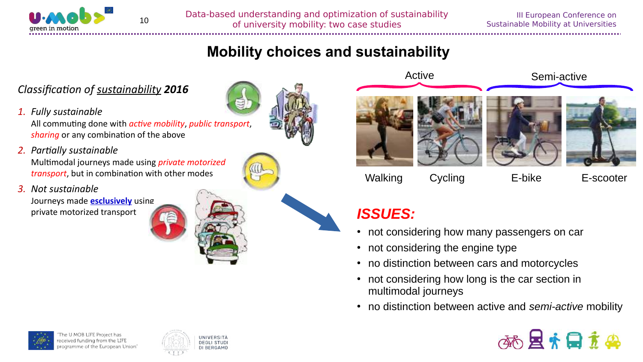

Data-based understanding and optimization of sustainability of university mobility: two case studies

#### **Mobility choices and sustainability**

#### *Classification of sustainability 2016*

*1. Fully sustainable*

All commuting done with *active mobility*, *public transport*, *sharing* or any combination of the above

*2. Partially sustainable*

Multimodal journeys made using *private motorized transport*, but in combination with other modes

*3. Not sustainable*

Journeys made **esclusively** using private motorized transport **ISSUES:** 





- not considering how many passengers on car
- not considering the engine type
- no distinction between cars and motorcycles
- not considering how long is the car section in multimodal journeys
- no distinction between active and *semi-active* mobility







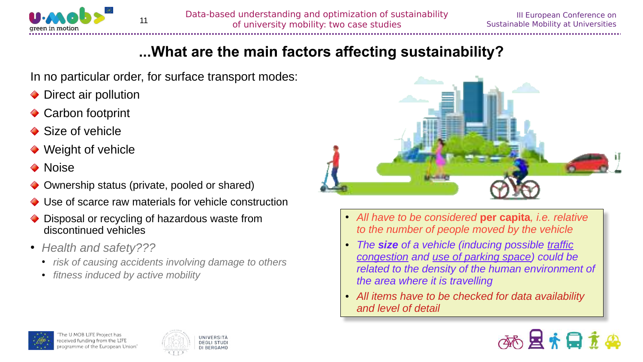

#### **...What are the main factors affecting sustainability?**

In no particular order, for surface transport modes:

- ◆ Direct air pollution
- **◆ Carbon footprint**
- **◆ Size of vehicle**
- ◆ Weight of vehicle
- ◆ Noise
- Ownership status (private, pooled or shared)
- Use of scarce raw materials for vehicle construction
- Disposal or recycling of hazardous waste from discontinued vehicles
- *Health and safety???*
	- *risk of causing accidents involving damage to others*
	- *fitness induced by active mobility*



- *All have to be considered* **per capita***, i.e. relative to the number of people moved by the vehicle*
- *The size of a vehicle (inducing possible traffic congestion and use of parking space) could be related to the density of the human environment of the area where it is travelling*
- *All items have to be checked for data availability and level of detail*





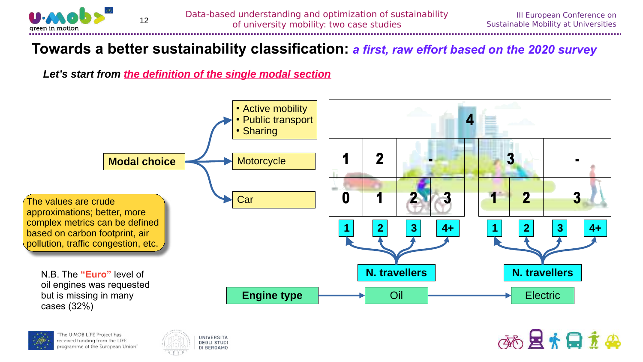

36 且有日立典

#### **Towards a better sustainability classification:** *a first, raw effort based on the 2020 survey*

*Let's start from the definition of the single modal section*





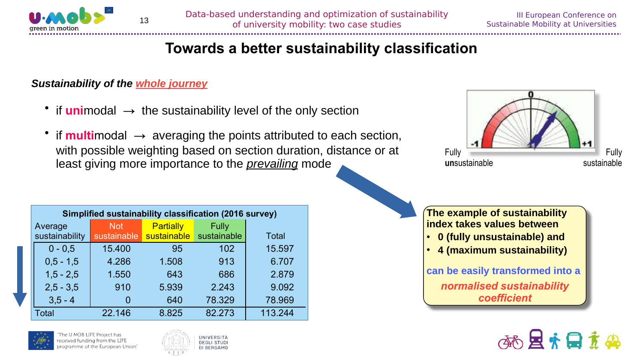

#### **Towards a better sustainability classification**

#### *Sustainability of the whole journey*

- if **uni**modal **→** the sustainability level of the only section
- if **multi**modal **→** averaging the points attributed to each section, with possible weighting based on section duration, distance or at least giving more importance to the *prevailing* mode

|                        |  |             | Fully |
|------------------------|--|-------------|-------|
| Fully<br>unsustainable |  | sustainable |       |

| <b>Simplified sustainability classification (2016 survey)</b> |                |             |             |             |              |  |
|---------------------------------------------------------------|----------------|-------------|-------------|-------------|--------------|--|
| Average                                                       |                | <b>Not</b>  | Partially   | Fully       |              |  |
|                                                               | sustainability | sustainable | sustainable | sustainable | <b>Total</b> |  |
|                                                               | $0 - 0.5$      | 15.400      | 95          | 102         | 15.597       |  |
|                                                               | $0.5 - 1.5$    | 4.286       | 1.508       | 913         | 6.707        |  |
|                                                               | $1,5 - 2,5$    | 1.550       | 643         | 686         | 2.879        |  |
|                                                               | $2,5 - 3,5$    | 910         | 5.939       | 2.243       | 9.092        |  |
|                                                               | $3,5 - 4$      |             | 640         | 78.329      | 78.969       |  |
| Total                                                         |                | 22.146      | 8.825       | 82.273      | 113.244      |  |







**The example of sustainability index takes values between** ● **0 (fully unsustainable) and** ● **4 (maximum sustainability) can be easily transformed into a**

*normalised sustainability coefficient*

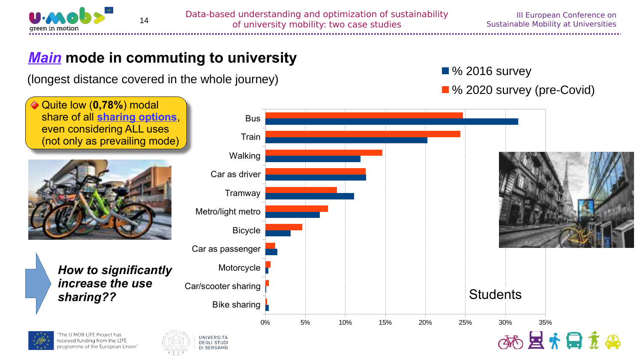

### *Main* **mode in commuting to university**

(longest distance covered in the whole journey) Manuson Contract 1996 2016 survey

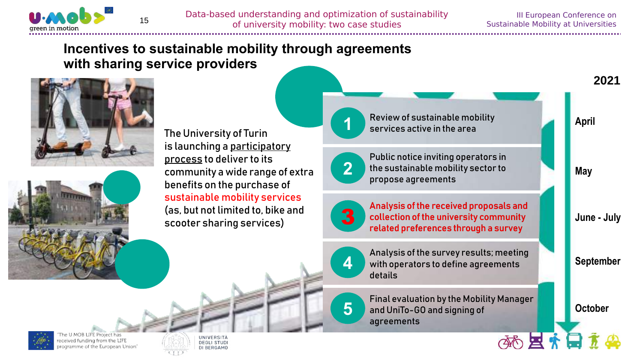

#### **Incentives to sustainable mobility through agreements with sharing service providers**



The University of Turin is launching a participatory process to deliver to its community a wide range of extra benefits on the purchase of sustainable mobility services (as, but not limited to, bike and scooter sharing services)

Review of sustainable mobility services active in the area



**1**

Public notice inviting operators in the sustainable mobility sector to propose agreements



Analysis of the received proposals and collection of the university community related preferences through a survey



**5**

Analysis of the survey results; meeting with operators to define agreements details

Final evaluation by the Mobility Manager and UniTo-GO and signing of agreements



层

**2021**



eceived funding from the LIFE rogramme of the European Union'

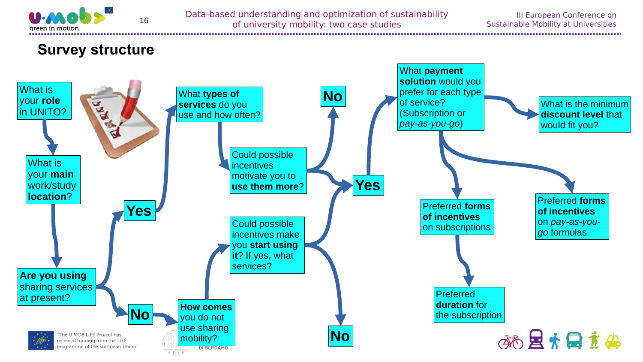

Data-based understanding and optimization of sustainability of university mobility: two case studies

#### **Survey structure**

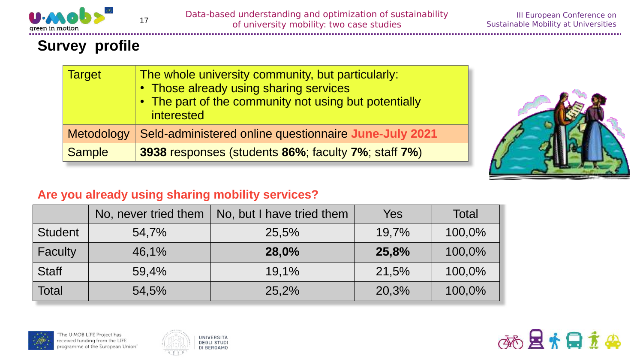

### **Survey profile**

| <b>Target</b> | The whole university community, but particularly:<br>• Those already using sharing services<br>• The part of the community not using but potentially<br>interested |
|---------------|--------------------------------------------------------------------------------------------------------------------------------------------------------------------|
| Metodology    | Seld-administered online questionnaire June-July 2021                                                                                                              |
| <b>Sample</b> | 3938 responses (students 86%; faculty 7%; staff 7%)                                                                                                                |



#### **Are you already using sharing mobility services?**

|                | No, never tried them | No, but I have tried them | Yes   | <b>Total</b> |
|----------------|----------------------|---------------------------|-------|--------------|
| <b>Student</b> | 54,7%                | 25,5%                     | 19,7% | 100,0%       |
| <b>Faculty</b> | 46,1%                | 28,0%                     | 25,8% | 100,0%       |
| <b>Staff</b>   | 59,4%                | 19.1%                     | 21,5% | 100,0%       |
| <b>Total</b>   | 54,5%                | 25,2%                     | 20,3% | 100,0%       |





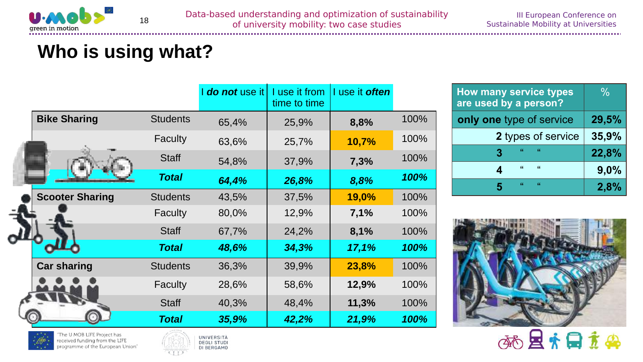

The U-MOB LIFE Project has

received funding from the LIFE

programme of the European Union'

# **Who is using what?**

|                        |                 | I do not use it | I use it from<br>time to time | I use it <b>often</b> |      |
|------------------------|-----------------|-----------------|-------------------------------|-----------------------|------|
| <b>Bike Sharing</b>    | <b>Students</b> | 65,4%           | 25,9%                         | 8,8%                  | 100% |
|                        | <b>Faculty</b>  | 63,6%           | 25,7%                         | 10,7%                 | 100% |
|                        | <b>Staff</b>    | 54,8%           | 37,9%                         | 7,3%                  | 100% |
|                        | <b>Total</b>    | 64,4%           | 26,8%                         | 8,8%                  | 100% |
| <b>Scooter Sharing</b> | <b>Students</b> | 43,5%           | 37,5%                         | 19,0%                 | 100% |
|                        | <b>Faculty</b>  | 80,0%           | 12,9%                         | 7,1%                  | 100% |
|                        | <b>Staff</b>    | 67,7%           | 24,2%                         | 8,1%                  | 100% |
|                        | <b>Total</b>    | 48,6%           | 34,3%                         | 17,1%                 | 100% |
| <b>Car sharing</b>     | <b>Students</b> | 36,3%           | 39,9%                         | 23,8%                 | 100% |
|                        | <b>Faculty</b>  | 28,6%           | 58,6%                         | 12,9%                 | 100% |
|                        | <b>Staff</b>    | 40,3%           | 48,4%                         | 11,3%                 | 100% |
|                        | <b>Total</b>    | 35,9%           | 42,2%                         | 21,9%                 | 100% |

UNIVERSITÀ

**DEGLI STUDI** 

DI BERGAMO

| <b>How many service types</b><br>are used by a person? | $\frac{0}{0}$ |
|--------------------------------------------------------|---------------|
| only one type of service                               | 29,5%         |
| 2 types of service                                     | 35,9%         |
| H.<br>- 66<br>3                                        | 22,8%         |
| $\epsilon$<br>$\epsilon$<br>4                          | 9,0%          |
| 66<br>44<br>5                                          | 2,8%          |

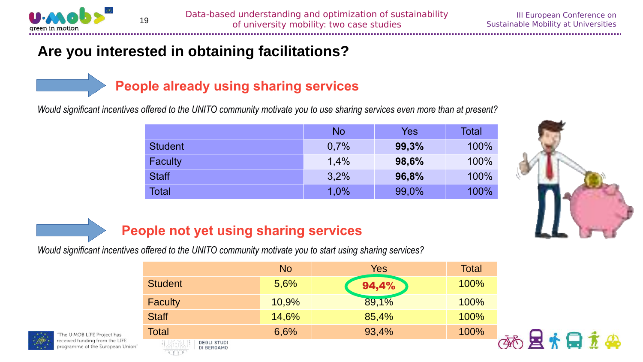

#### **Are you interested in obtaining facilitations?**

#### **People already using sharing services**

*Would significant incentives offered to the UNITO community motivate you to use sharing services even more than at present?*

|                | <b>No</b> | Yes   | Total |
|----------------|-----------|-------|-------|
| <b>Student</b> | 0,7%      | 99,3% | 100%  |
| Faculty        | 1,4%      | 98,6% | 100%  |
| <b>Staff</b>   | 3,2%      | 96,8% | 100%  |
| Total          | 1,0%      | 99,0% | 100%  |



### **People not yet using sharing services**

*Would significant incentives offered to the UNITO community motivate you to start using sharing services?*

|                              | <b>No</b> | Yes   | <b>Total</b> |
|------------------------------|-----------|-------|--------------|
| <b>Student</b>               | 5,6%      | 94,4% | 100%         |
| <b>Faculty</b>               | 10,9%     | 89,1% | 100%         |
| <b>Staff</b>                 | 14,6%     | 85,4% | 100%         |
| <b>Total</b>                 | 6,6%      | 93,4% | 100%         |
| 1 KY 1<br><b>DEGLI STUDI</b> |           |       |              |





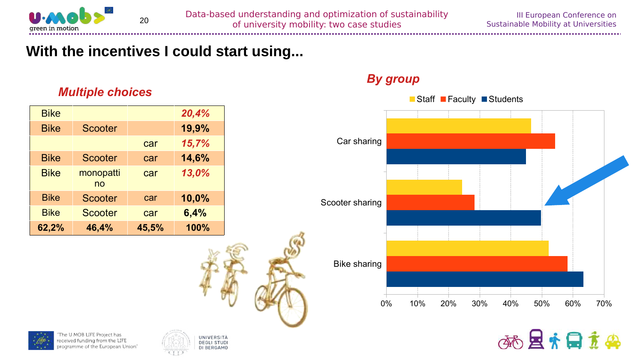

#### **With the incentives I could start using...**

#### *Multiple choices*

| <b>Bike</b> |                 |       | 20,4% |
|-------------|-----------------|-------|-------|
| <b>Bike</b> | Scooter         |       | 19,9% |
|             |                 | car   | 15,7% |
| <b>Bike</b> | Scooter         | car   | 14,6% |
| <b>Bike</b> | monopatti<br>no | car   | 13,0% |
| <b>Bike</b> | <b>Scooter</b>  | car   | 10,0% |
| <b>Bike</b> | <b>Scooter</b>  | car   | 6,4%  |
| 62,2%       | 46,4%           | 45,5% | 100%  |

#### *By group*











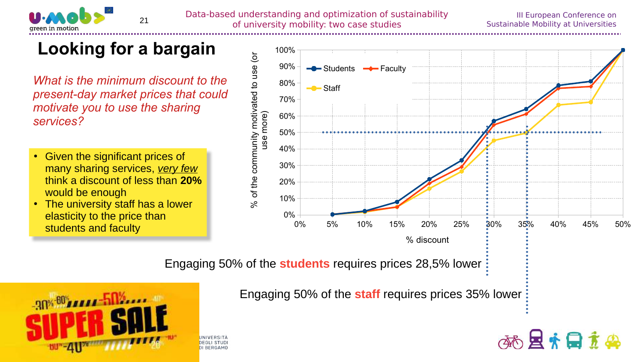

# **Looking for a bargain**

*What is the minimum discount to the present-day market prices that could motivate you to use the sharing services?*

- Given the significant prices of many sharing services, *very few* think a discount of less than **20%** would be enough
- The university staff has a lower elasticity to the price than students and faculty



Engaging 50% of the **students** requires prices 28,5% lower



Engaging 50% of the **staff** requires prices 35% lower

DEGLI STUD **ILBERGAMO** 

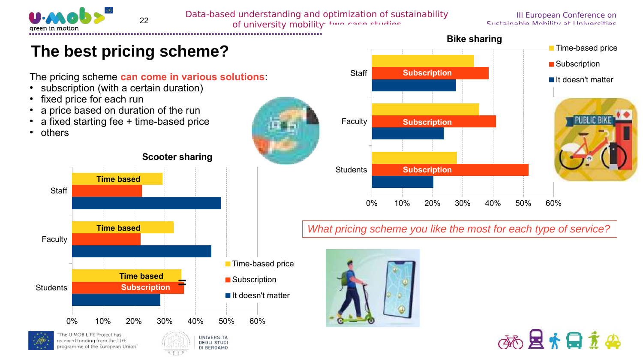

Data-based understanding and optimization of sustainability

**22** Data based and examining and operated to the studies of university mobility: two case studies

III European Conference on Sustainable Mobility at Universities

**Time-based price** 

It doesn't matter

**■** Subscription

### **The best pricing scheme?**

The pricing scheme **can come in various solutions**:

- subscription (with a certain duration)
- fixed price for each run
- a price based on duration of the run
- a fixed starting fee + time-based price
- others













**Subscription**

**Subscription**

#### *What pricing scheme you like the most for each type of service?*

**Bike sharing**



Faculty

**Staff** 

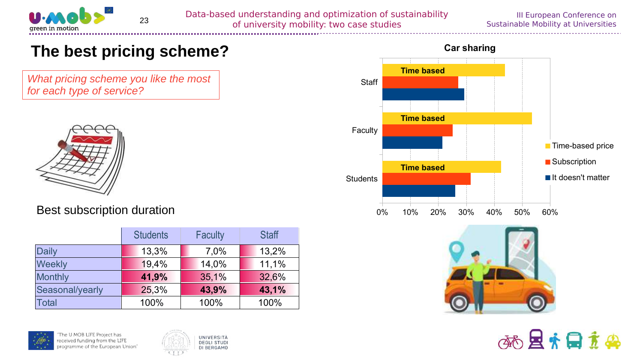

Data-based understanding and optimization of sustainability of university mobility: two case studies <sup>23</sup>

#### III European Conference on Sustainable Mobility at Universities

### **The best pricing scheme?**

*What pricing scheme you like the most for each type of service?*



#### Best subscription duration

|                 | <b>Students</b> | <b>Faculty</b> | <b>Staff</b> |
|-----------------|-----------------|----------------|--------------|
| <b>Daily</b>    | 13,3%           | 7,0%           | 13,2%        |
| <b>Weekly</b>   | 19,4%           | 14,0%          | 11,1%        |
| <b>Monthly</b>  | 41,9%           | 35,1%          | 32,6%        |
| Seasonal/yearly | 25,3%           | 43,9%          | 43,1%        |
| Total           | 100%            | 100%           | 100%         |









国内日立的